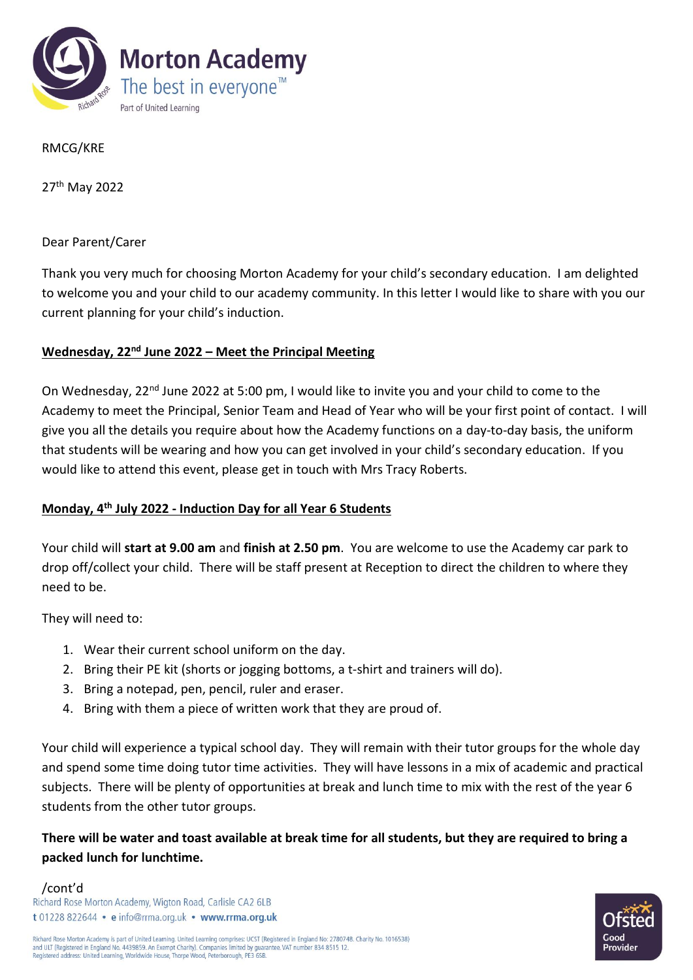

RMCG/KRE

27th May 2022

Dear Parent/Carer

Thank you very much for choosing Morton Academy for your child's secondary education. I am delighted to welcome you and your child to our academy community. In this letter I would like to share with you our current planning for your child's induction.

## **Wednesday, 22nd June 2022 – Meet the Principal Meeting**

On Wednesday, 22<sup>nd</sup> June 2022 at 5:00 pm, I would like to invite you and your child to come to the Academy to meet the Principal, Senior Team and Head of Year who will be your first point of contact. I will give you all the details you require about how the Academy functions on a day-to-day basis, the uniform that students will be wearing and how you can get involved in your child's secondary education. If you would like to attend this event, please get in touch with Mrs Tracy Roberts.

## **Monday, 4th July 2022 - Induction Day for all Year 6 Students**

Your child will **start at 9.00 am** and **finish at 2.50 pm**. You are welcome to use the Academy car park to drop off/collect your child. There will be staff present at Reception to direct the children to where they need to be.

They will need to:

- 1. Wear their current school uniform on the day.
- 2. Bring their PE kit (shorts or jogging bottoms, a t-shirt and trainers will do).
- 3. Bring a notepad, pen, pencil, ruler and eraser.
- 4. Bring with them a piece of written work that they are proud of.

Your child will experience a typical school day. They will remain with their tutor groups for the whole day and spend some time doing tutor time activities. They will have lessons in a mix of academic and practical subjects. There will be plenty of opportunities at break and lunch time to mix with the rest of the year 6 students from the other tutor groups.

**There will be water and toast available at break time for all students, but they are required to bring a packed lunch for lunchtime.** 

/cont'd<br>Richard Rose Morton Academy, Wigton Road, Carlisle CA2 6LB t 01228 822644 · e info@rrma.org.uk · www.rrma.org.uk